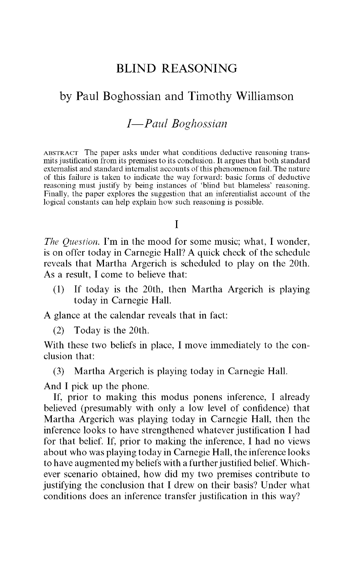# BLIND REASONING

## by Paul Boghossian and Timothy Williamson

## *I*—*Paul Boghossian*

ABSTRACT The paper asks under what conditions deductive reasoning transmits justification from its premisesto its conclusion. It argues that both standard externalist and standard internalist accounts of this phenomenon fail. The nature of this failure is taken to indicate the way forward: basic forms of deductive reasoning must justify by being instances of 'blind but blameless' reasoning. Finally, the paper explores the suggestion that an inferentialist account of the logical constants can help explain how such reasoning is possible.

### I

*The Question*. I'm in the mood for some music; what, I wonder, is on offer today in Carnegie Hall? A quick check of the schedule reveals that Martha Argerich is scheduled to play on the 20th. As a result, I come to believe that:

(1) If today is the 20th, then Martha Argerich is playing today in Carnegie Hall.

A glance at the calendar reveals that in fact:

(2) Today is the 20th.

With these two beliefs in place, I move immediately to the conclusion that:

(3) Martha Argerich is playing today in Carnegie Hall.

And I pick up the phone.

If, prior to making this modus ponens inference, I already believed (presumably with only a low level of confidence) that Martha Argerich was playing today in Carnegie Hall, then the inference looks to have strengthened whatever justification I had for that belief. If, prior to making the inference, I had no views about who was playing today in Carnegie Hall, the inference looks to have augmented my beliefs with a further justified belief. Whichever scenario obtained, how did my two premises contribute to justifying the conclusion that I drew on their basis? Under what conditions does an inference transfer justification in this way?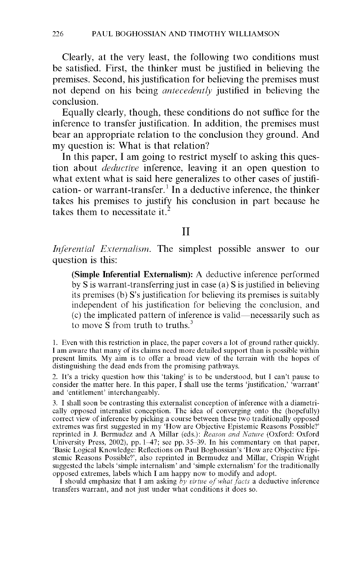Clearly, at the very least, the following two conditions must be satisfied. First, the thinker must be justified in believing the premises. Second, his justification for believing the premises must not depend on his being *antecedently* justified in believing the conclusion.

Equally clearly, though, these conditions do not suffice for the inference to transfer justification. In addition, the premises must bear an appropriate relation to the conclusion they ground. And my question is: What is that relation?

In this paper, I am going to restrict myself to asking this question about *deductive* inference, leaving it an open question to what extent what is said here generalizes to other cases of justification- or warrant-transfer.<sup>1</sup> In a deductive inference, the thinker takes his premises to justify his conclusion in part because he takes them to necessitate it.<sup>2</sup>

### II

*Inferential Externalism*. The simplest possible answer to our question is this:

**(Simple Inferential Externalism):** A deductive inference performed by S is warrant-transferring just in case (a) S is justified in believing its premises (b) S's justification for believing its premises is suitably independent of his justification for believing the conclusion, and (c) the implicated pattern of inference is valid—necessarily such as to move  $\overline{S}$  from truth to truths.<sup>3</sup>

1. Even with this restriction in place, the paper covers a lot of ground rather quickly. I am aware that many of its claims need more detailed support than is possible within present limits. My aim is to offer a broad view of the terrain with the hopes of distinguishing the dead ends from the promising pathways.

2. It's a tricky question how this 'taking' is to be understood, but I can't pause to consider the matter here. In this paper,  $\overline{I}$  shall use the terms 'justification,' 'warrant' and 'entitlement' interchangeably.

3. I shall soon be contrasting this externalist conception of inference with a diametrically opposed internalist conception. The idea of converging onto the (hopefully) correct view of inference by picking a course between these two traditionally opposed extremes was first suggested in my 'How are Objective Epistemic Reasons Possible?' reprinted in J. Bermudez and A Millar (eds.): *Reason and Nature* (Oxford: Oxford University Press, 2002), pp. 1-47; see pp. 35-39. In his commentary on that paper, 'Basic Logical Knowledge: Reflections on Paul Boghossian's'How are Objective Epistemic Reasons Possible?', also reprinted in Bermudez and Millar, Crispin Wright suggested the labels 'simple internalism' and 'simple externalism' for the traditionally opposed extremes, labels which I am happy now to modify and adopt.

I should emphasize that I am asking *by* v*irtue of what facts* a deductive inference transfers warrant, and not just under what conditions it does so.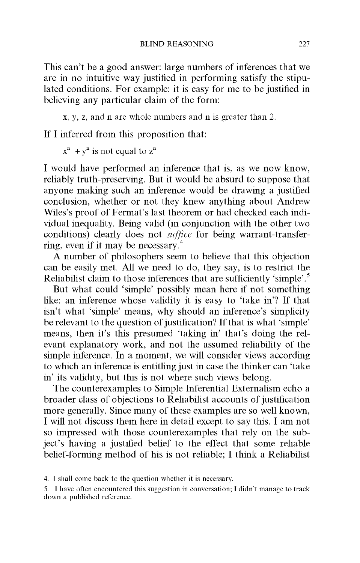This can't be a good answer: large numbers of inferences that we are in no intuitive way justified in performing satisfy the stipulated conditions. For example: it is easy for me to be justified in believing any particular claim of the form:

x, y, z, and n are whole numbers and n is greater than 2.

If I inferred from this proposition that:

 $x^n + y^n$  is not equal to  $z^n$ 

I would have performed an inference that is, as we now know, reliably truth-preserving. But it would be absurd to suppose that anyone making such an inference would be drawing a justified conclusion, whether or not they knew anything about Andrew Wiles's proof of Fermat's last theorem or had checked each individual inequality. Being valid (in conjunction with the other two conditions) clearly does not *suffice* for being warrant-transferring, even if it may be necessary.<sup>4</sup>

A number of philosophers seem to believe that this objection can be easily met. All we need to do, they say, is to restrict the Reliabilist claim to those inferences that are sufficiently 'simple'.<sup>5</sup>

But what could 'simple' possibly mean here if not something like: an inference whose validity it is easy to 'take in'? If that isn't what 'simple' means, why should an inference's simplicity be relevant to the question of justification? If that is what 'simple' means, then it's this presumed 'taking in' that's doing the relevant explanatory work, and not the assumed reliability of the simple inference. In a moment, we will consider views according to which an inference is entitling just in case the thinker can 'take in' its validity, but this is not where such views belong.

The counterexamples to Simple Inferential Externalism echo a broader class of objections to Reliabilist accounts of justification more generally. Since many of these examples are so well known, I will not discuss them here in detail except to say this. I am not so impressed with those counterexamples that rely on the subject's having a justified belief to the effect that some reliable belief-forming method of his is not reliable; I think a Reliabilist

<sup>4.</sup> I shall come back to the question whether it is necessary.

<sup>5.</sup> I have often encountered thissuggestion in conversation; I didn't manage to track down a published reference.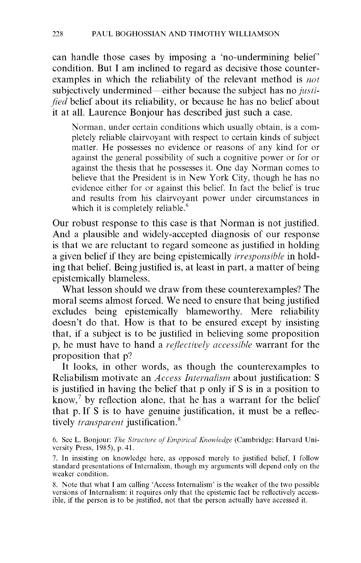can handle those cases by imposing a 'no-undermining belief' condition. But I am inclined to regard as decisive those counterexamples in which the reliability of the relevant method is *not* subjectively undermined—either because the subject has no *justified* belief about its reliability, or because he has no belief about it at all. Laurence Bonjour has described just such a case.

Norman, under certain conditions which usually obtain, is a completely reliable clairvoyant with respect to certain kinds of subject matter. He possesses no evidence or reasons of any kind for or against the general possibility of such a cognitive power or for or against the thesis that he possesses it. One day Norman comes to believe that the President is in New York City, though he has no evidence either for or against this belief. In fact the belief is true and results from his clairvoyant power under circumstances in which it is completely reliable.<sup>6</sup>

Our robust response to this case is that Norman is not justified. And a plausible and widely-accepted diagnosis of our response is that we are reluctant to regard someone as justified in holding a given belief if they are being epistemically *irresponsible* in holding that belief. Being justified is, at least in part, a matter of being epistemically blameless.

What lesson should we draw from these counterexamples? The moral seems almost forced. We need to ensure that being justified excludes being epistemically blameworthy. Mere reliability doesn't do that. How is that to be ensured except by insisting that, if a subject is to be justified in believing some proposition p, he must have to hand a *reflectively accessible* warrant for the proposition that p?

It looks, in other words, as though the counterexamples to Reliabilism motivate an *Access Internalism* about justification: S is justified in having the belief that p only if S is in a position to know,<sup>7</sup> by reflection alone, that he has a warrant for the belief that p.If S is to have genuine justification, it must be a reflectively *transparent* justification.<sup>8</sup>

6. See L. Bonjour: *The Structure of Empirical Knowledge* (Cambridge: Harvard University Press, 1985), p.41.

7. In insisting on knowledge here, as opposed merely to justified belief, I follow standard presentations of Internalism, though my arguments will depend only on the weaker condition.

8. Note that what I am calling 'Access Internalism' is the weaker of the two possible versions of Internalism: it requires only that the epistemic fact be reflectively accessible, if the person is to be justified, not that the person actually have accessed it.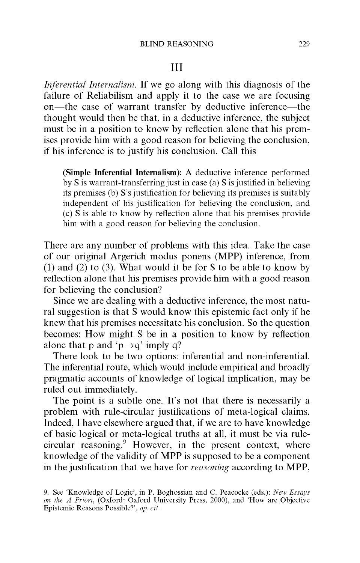*Inferential Internalism*. If we go along with this diagnosis of the failure of Reliabilism and apply it to the case we are focusing on—the case of warrant transfer by deductive inference—the thought would then be that, in a deductive inference, the subject must be in a position to know by reflection alone that his premises provide him with a good reason for believing the conclusion, if his inference is to justify his conclusion. Call this

**(Simple Inferential Internalism):** A deductive inference performed by  $S$  is warrant-transferring just in case (a)  $S$  is justified in believing its premises (b) S's justification for believing its premises is suitably independent of his justification for believing the conclusion, and (c)  $\hat{S}$  is able to know by reflection alone that his premises provide him with a good reason for believing the conclusion.

There are any number of problems with this idea. Take the case of our original Argerich modus ponens (MPP) inference, from (1) and (2) to (3). What would it be for S to be able to know by reflection alone that his premises provide him with a good reason for believing the conclusion?

Since we are dealing with a deductive inference, the most natural suggestion is that S would know this epistemic fact only if he knew that his premises necessitate his conclusion. So the question becomes: How might S be in a position to know by reflection alone that p and ' $p \rightarrow q$ ' imply q?

There look to be two options: inferential and non-inferential. The inferential route, which would include empirical and broadly pragmatic accounts of knowledge of logical implication, may be ruled out immediately.

The point is a subtle one. It's not that there is necessarily a problem with rule-circular justifications of meta-logical claims. Indeed, I have elsewhere argued that, if we are to have knowledge of basic logical or meta-logical truths at all, it must be via rulecircular reasoning.<sup>9</sup> However, in the present context, where knowledge of the validity of MPP is supposed to be a component in the justification that we have for *reasoning* according to MPP,

<sup>9.</sup> See 'Knowledge of Logic', in P. Boghossian and C. Peacocke (eds.): *New Essays on the A Priori*, (Oxford: Oxford University Press, 2000), and 'How are Objective Epistemic Reasons Possible?', *op*. *cit*..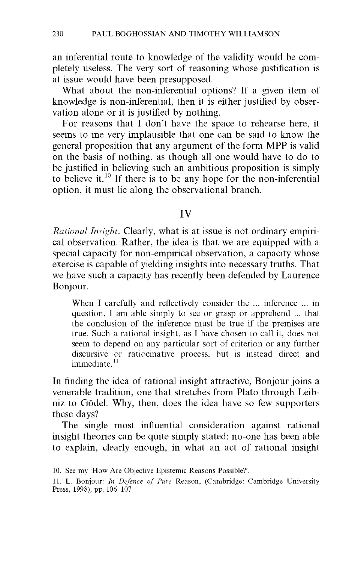an inferential route to knowledge of the validity would be completely useless. The very sort of reasoning whose justification is at issue would have been presupposed.

What about the non-inferential options? If a given item of knowledge is non-inferential, then it is either justified by observation alone or it is justified by nothing.

For reasons that I don't have the space to rehearse here, it seems to me very implausible that one can be said to know the general proposition that any argument of the form MPP is valid on the basis of nothing, as though all one would have to do to be justified in believing such an ambitious proposition is simply to believe it.<sup>10</sup> If there is to be any hope for the non-inferential option, it must lie along the observational branch.

### IV

*Rational Insight*. Clearly, what is at issue is not ordinary empirical observation. Rather, the idea is that we are equipped with a special capacity for non-empirical observation, a capacity whose exercise is capable of yielding insights into necessary truths. That we have such a capacity has recently been defended by Laurence Bonjour.

When I carefully and reflectively consider the ... inference ... in question, I am able simply to see or grasp or apprehend ... that the conclusion of the inference must be true if the premises are true. Such a rational insight, as I have chosen to call it, does not seem to depend on any particular sort of criterion or any further discursive or ratiocinative process, but is instead direct and immediate.<sup>11</sup>

In finding the idea of rational insight attractive, Bonjour joins a venerable tradition, one that stretches from Plato through Leibniz to Gödel. Why, then, does the idea have so few supporters these days?

The single most influential consideration against rational insight theories can be quite simply stated: no-one has been able to explain, clearly enough, in what an act of rational insight

<sup>10.</sup> See my 'How Are Objective Epistemic Reasons Possible?'.

<sup>11.</sup> L. Bonjour: *In Defence of Pure* Reason, (Cambridge: Cambridge University Press, 1998), pp. 106-107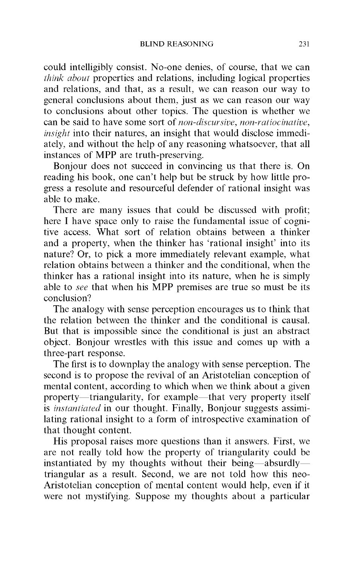could intelligibly consist. No-one denies, of course, that we can *think about* properties and relations, including logical properties and relations, and that, as a result, we can reason our way to general conclusions about them, just as we can reason our way to conclusions about other topics. The question is whether we can be said to have some sort of *non*-*discursi*v*e*, *non*-*ratiocinati*v*e*, *insight* into their natures, an insight that would disclose immediately, and without the help of any reasoning whatsoever, that all instances of MPP are truth-preserving.

Boniour does not succeed in convincing us that there is. On reading his book, one can't help but be struck by how little progress a resolute and resourceful defender of rational insight was able to make.

There are many issues that could be discussed with profit; here I have space only to raise the fundamental issue of cognitive access. What sort of relation obtains between a thinker and a property, when the thinker has 'rational insight' into its nature? Or, to pick a more immediately relevant example, what relation obtains between a thinker and the conditional, when the thinker has a rational insight into its nature, when he is simply able to *see* that when his MPP premises are true so must be its conclusion?

The analogy with sense perception encourages us to think that the relation between the thinker and the conditional is causal. But that is impossible since the conditional is just an abstract object. Bonjour wrestles with this issue and comes up with a three-part response.

The first is to downplay the analogy with sense perception. The second is to propose the revival of an Aristotelian conception of mental content, according to which when we think about a given property—triangularity, for example—that very property itself is *instantiated* in our thought. Finally, Bonjour suggests assimilating rational insight to a form of introspective examination of that thought content.

His proposal raises more questions than it answers. First, we are not really told how the property of triangularity could be instantiated by my thoughts without their being—absurdly triangular as a result. Second, we are not told how this neo-Aristotelian conception of mental content would help, even if it were not mystifying. Suppose my thoughts about a particular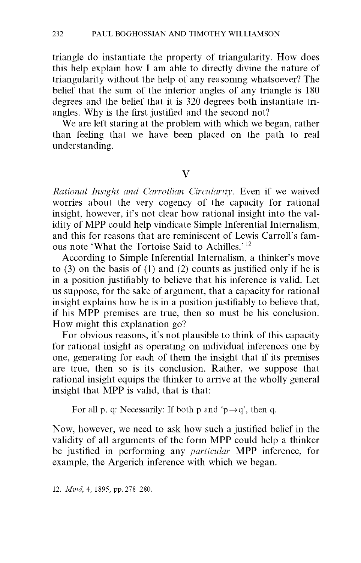triangle do instantiate the property of triangularity. How does this help explain how I am able to directly divine the nature of triangularity without the help of any reasoning whatsoever? The belief that the sum of the interior angles of any triangle is 180 degrees and the belief that it is 320 degrees both instantiate triangles. Why is the first justified and the second not?

We are left staring at the problem with which we began, rather than feeling that we have been placed on the path to real understanding.

### V

*Rational Insight and Carrollian Circularity*. Even if we waived worries about the very cogency of the capacity for rational insight, however, it's not clear how rational insight into the validity of MPP could help vindicate Simple Inferential Internalism, and this for reasons that are reminiscent of Lewis Carroll's famous note 'What the Tortoise Said to Achilles.'<sup>12</sup>

According to Simple Inferential Internalism, a thinker's move to (3) on the basis of (1) and (2) counts as justified only if he is in a position justifiably to believe that his inference is valid. Let us suppose, for the sake of argument, that a capacity for rational insight explains how he is in a position justifiably to believe that, if his MPP premises are true, then so must be his conclusion. How might this explanation go?

For obvious reasons, it's not plausible to think of this capacity for rational insight as operating on individual inferences one by one, generating for each of them the insight that if its premises are true, then so is its conclusion. Rather, we suppose that rational insight equips the thinker to arrive at the wholly general insight that MPP is valid, that is that:

For all p, q: Necessarily: If both p and 'p $\rightarrow$ q', then q.

Now, however, we need to ask how such a justified belief in the validity of all arguments of the form MPP could help a thinker be justified in performing any *particular* MPP inference, for example, the Argerich inference with which we began.

12. *Mind*, 4, 1895, pp. 278-280.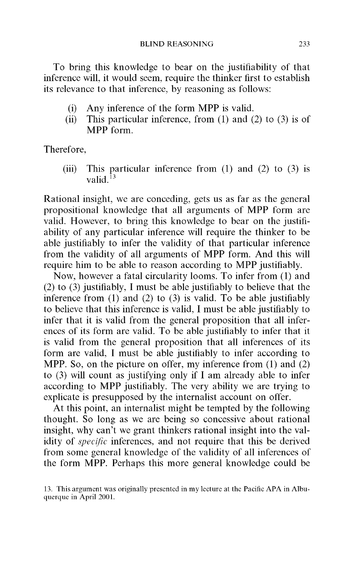To bring this knowledge to bear on the justifiability of that inference will, it would seem, require the thinker first to establish its relevance to that inference, by reasoning as follows:

- (i) Any inference of the form MPP is valid.<br>(ii) This particular inference, from (1) and (
- This particular inference, from  $(1)$  and  $(2)$  to  $(3)$  is of  $MPP$  form.

Therefore,

(iii) This particular inference from  $(1)$  and  $(2)$  to  $(3)$  is valid.<sup>13</sup>

Rational insight, we are conceding, gets us as far as the general propositional knowledge that all arguments of MPP form are valid. However, to bring this knowledge to bear on the justifiability of any particular inference will require the thinker to be able justifiably to infer the validity of that particular inference from the validity of all arguments of MPP form. And this will require him to be able to reason according to MPP justifiably.

Now, however a fatal circularity looms. To infer from (1) and (2) to (3) justifiably, I must be able justifiably to believe that the inference from  $(1)$  and  $(2)$  to  $(3)$  is valid. To be able justifiably to believe that this inference is valid, I must be able justifiably to infer that it is valid from the general proposition that all inferences of its form are valid. To be able justifiably to infer that it is valid from the general proposition that all inferences of its form are valid, I must be able justifiably to infer according to MPP. So, on the picture on offer, my inference from (1) and (2) to (3) will count as justifying only if I am already able to infer according to MPP justifiably. The very ability we are trying to explicate is presupposed by the internalist account on offer.

At this point, an internalist might be tempted by the following thought. So long as we are being so concessive about rational insight, why can't we grant thinkers rational insight into the validity of *specific* inferences, and not require that this be derived from some general knowledge of the validity of all inferences of the form MPP. Perhaps this more general knowledge could be

<sup>13.</sup> This argument was originally presented in my lecture at the Pacific APA in Albuquerque in April 2001.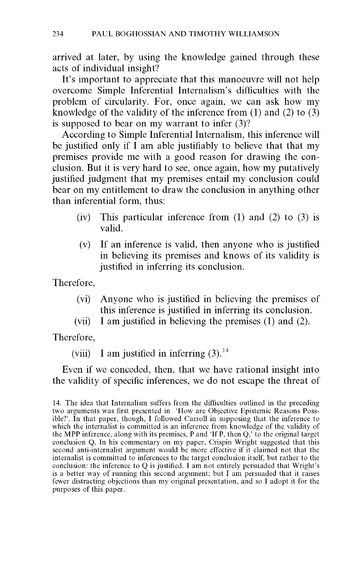arrived at later, by using the knowledge gained through these acts of individual insight?

It's important to appreciate that this manoeuvre will not help overcome Simple Inferential Internalism's difficulties with the problem of circularity. For, once again, we can ask how my knowledge of the validity of the inference from  $(1)$  and  $(2)$  to  $(3)$ is supposed to bear on my warrant to infer (3)?

According to Simple Inferential Internalism, this inference will be justified only if I am able justifiably to believe that that my premises provide me with a good reason for drawing the conclusion. But it is very hard to see, once again, how my putatively justified judgment that my premises entail my conclusion could bear on my entitlement to draw the conclusion in anything other than inferential form, thus:

- (iv) This particular inference from (1) and (2) to (3) is valid.
- (v) If an inference is valid, then anyone who is justified in believing its premises and knows of its validity is justified in inferring its conclusion.

Therefore,

- (vi) Anyone who is justified in believing the premises of this inference is justified in inferring its conclusion.
- (vii) I am justified in believing the premises (1) and (2).

Therefore,

(viii) I am justified in inferring  $(3)$ .<sup>14</sup>

Even if we conceded, then, that we have rational insight into the validity of specific inferences, we do not escape the threat of

<sup>14.</sup> The idea that Internalism suffers from the difficulties outlined in the preceding two arguments was first presented in 'How are Objective Epistemic Reasons Possible?'. In that paper, though, I followed Carroll in supposing that the inference to which the internalist is committed is an inference from knowledge of the validity of the MPP inference, along with its premises, P and 'If P, then Q,' to the original target conclusion Q. In his commentary on my paper, Crispin Wright suggested that this second anti-internalist argument would be more effective if it claimed not that the internalist is committed to inferences to the target conclusion itself, but rather to the conclusion: the inference to Q is justified. I am not entirely persuaded that Wright's is a better way of running this second argument; but I am persuaded that it raises fewer distracting objections than my original presentation, and so I adopt it for the purposes of this paper.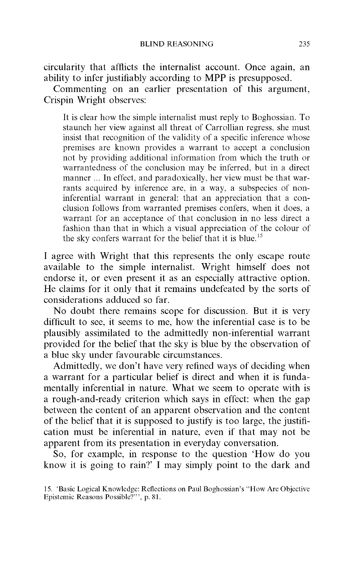circularity that afflicts the internalist account. Once again, an ability to infer justifiably according to MPP is presupposed.

Commenting on an earlier presentation of this argument, Crispin Wright observes:

It is clear how the simple internalist must reply to Boghossian. To staunch her view against all threat of Carrollian regress, she must insist that recognition of the validity of a specific inference whose premises are known provides a warrant to accept a conclusion not by providing additional information from which the truth or warrantedness of the conclusion may be inferred, but in a direct manner ... In effect, and paradoxically, her view must be that warrants acquired by inference are, in a way, a subspecies of noninferential warrant in general: that an appreciation that a conclusion follows from warranted premises confers, when it does, a warrant for an acceptance of that conclusion in no less direct a fashion than that in which a visual appreciation of the colour of the sky confers warrant for the belief that it is blue.<sup>15</sup>

I agree with Wright that this represents the only escape route available to the simple internalist. Wright himself does not endorse it, or even present it as an especially attractive option. He claims for it only that it remains undefeated by the sorts of considerations adduced so far.

No doubt there remains scope for discussion. But it is very difficult to see, it seems to me, how the inferential case is to be plausibly assimilated to the admittedly non-inferential warrant provided for the belief that the sky is blue by the observation of a blue sky under favourable circumstances.

Admittedly, we don't have very refined ways of deciding when a warrant for a particular belief is direct and when it is fundamentally inferential in nature. What we seem to operate with is a rough-and-ready criterion which says in effect: when the gap between the content of an apparent observation and the content of the belief that it is supposed to justify is too large, the justification must be inferential in nature, even if that may not be apparent from its presentation in everyday conversation.

So, for example, in response to the question 'How do you know it is going to rain?' I may simply point to the dark and

<sup>15.</sup> 'Basic Logical Knowledge: Reflections on Paul Boghossian's ''How Are Objective Epistemic Reasons Possible?''', p. 81.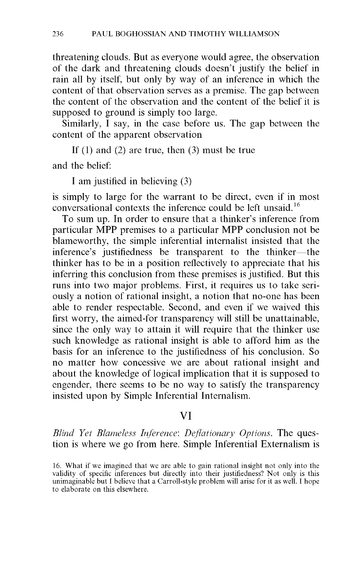threatening clouds. But as everyone would agree, the observation of the dark and threatening clouds doesn't justify the belief in rain all by itself, but only by way of an inference in which the content of that observation serves as a premise. The gap between the content of the observation and the content of the belief it is supposed to ground is simply too large.

Similarly, I say, in the case before us. The gap between the content of the apparent observation

If  $(1)$  and  $(2)$  are true, then  $(3)$  must be true

and the belief:

I am justified in believing (3)

is simply to large for the warrant to be direct, even if in most conversational contexts the inference could be left unsaid.<sup>16</sup>

To sum up. In order to ensure that a thinker's inference from particular MPP premises to a particular MPP conclusion not be blameworthy, the simple inferential internalist insisted that the inference's justifiedness be transparent to the thinker—the thinker has to be in a position reflectively to appreciate that his inferring this conclusion from these premises is justified. But this runs into two major problems. First, it requires us to take seriously a notion of rational insight, a notion that no-one has been able to render respectable. Second, and even if we waived this first worry, the aimed-for transparency will still be unattainable, since the only way to attain it will require that the thinker use such knowledge as rational insight is able to afford him as the basis for an inference to the justifiedness of his conclusion. So no matter how concessive we are about rational insight and about the knowledge of logical implication that it is supposed to engender, there seems to be no way to satisfy the transparency insisted upon by Simple Inferential Internalism.

## VI

*Blind Yet Blameless Inference*: *Deflationary Options*. The question is where we go from here. Simple Inferential Externalism is

<sup>16.</sup> What if we imagined that we are able to gain rational insight not only into the validity of specific inferences but directly into their justifiedness? Not only is this unimaginable but I believe that a Carroll-style problem will arise for it as well. I hope to elaborate on this elsewhere.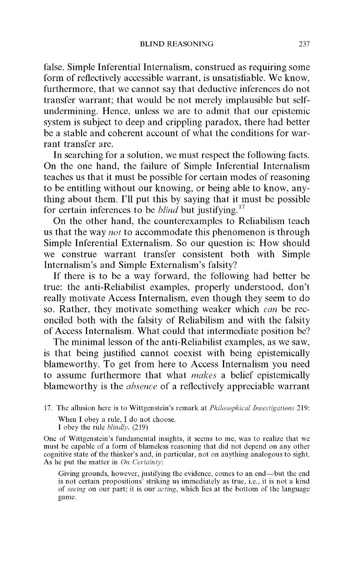false. Simple Inferential Internalism, construed as requiring some form of reflectively accessible warrant, is unsatisfiable. We know, furthermore, that we cannot say that deductive inferences do not transfer warrant; that would be not merely implausible but selfundermining. Hence, unless we are to admit that our epistemic system is subject to deep and crippling paradox, there had better be a stable and coherent account of what the conditions for warrant transfer are.

In searching for a solution, we must respect the following facts. On the one hand, the failure of Simple Inferential Internalism teaches us that it must be possible for certain modes of reasoning to be entitling without our knowing, or being able to know, anything about them. I'll put this by saying that it must be possible for certain inferences to be *blind* but justifying.<sup>17</sup>

On the other hand, the counterexamples to Reliabilism teach us that the way *not* to accommodate this phenomenon is through Simple Inferential Externalism. So our question is: How should we construe warrant transfer consistent both with Simple Internalism's and Simple Externalism's falsity?

If there is to be a way forward, the following had better be true: the anti-Reliabilist examples, properly understood, don't really motivate Access Internalism, even though they seem to do so. Rather, they motivate something weaker which *can* be reconciled both with the falsity of Reliabilism and with the falsity of Access Internalism. What could that intermediate position be?

The minimal lesson of the anti-Reliabilist examples, as we saw, is that being justified cannot coexist with being epistemically blameworthy. To get from here to Access Internalism you need to assume furthermore that what *makes* a belief epistemically blameworthy is the *absence* of a reflectively appreciable warrant

17. The allusion here is to Wittgenstein's remark at *Philosophical In*v*estigations* 219: When I obey a rule, I do not choose.

I obey the rule *blindly*. (219)

One of Wittgenstein's fundamental insights, it seems to me, was to realize that we must be capable of a form of blameless reasoning that did not depend on any other cognitive state of the thinker's and, in particular, not on anything analogous to sight. As he put the matter in *On Certainty*:

Giving grounds, however, justifying the evidence, comes to an end—but the end is not certain propositions' striking us immediately as true, i.e., it is not a kind of *seeing* on our part; it is our *acting*, which lies at the bottom of the language game.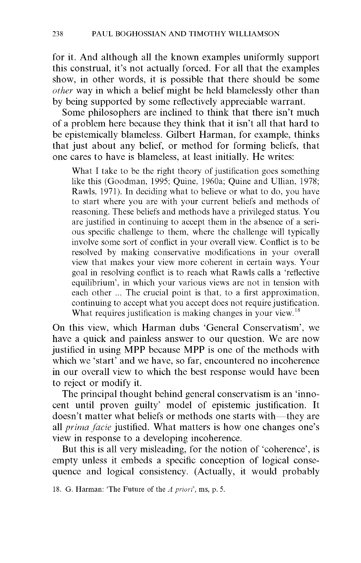for it. And although all the known examples uniformly support this construal, it's not actually forced. For all that the examples show, in other words, it is possible that there should be some *other* way in which a belief might be held blamelessly other than by being supported by some reflectively appreciable warrant.

Some philosophers are inclined to think that there isn't much of a problem here because they think that it isn't all that hard to be epistemically blameless. Gilbert Harman, for example, thinks that just about any belief, or method for forming beliefs, that one cares to have is blameless, at least initially. He writes:

What I take to be the right theory of justification goes something like this (Goodman, 1995; Quine, 1960a; Quine and Ullian, 1978; Rawls, 1971). In deciding what to believe or what to do, you have to start where you are with your current beliefs and methods of reasoning. These beliefs and methods have a privileged status. You are justified in continuing to accept them in the absence of a serious specific challenge to them, where the challenge will typically involve some sort of conflict in your overall view. Conflict is to be resolved by making conservative modifications in your overall view that makes your view more coherent in certain ways. Your goal in resolving conflict is to reach what Rawls calls a 'reflective equilibrium', in which your various views are not in tension with each other ... The crucial point is that, to a first approximation, continuing to accept what you accept does not require justification. What requires justification is making changes in your view.<sup>18</sup>

On this view, which Harman dubs 'General Conservatism', we have a quick and painless answer to our question. We are now justified in using MPP because MPP is one of the methods with which we 'start' and we have, so far, encountered no incoherence in our overall view to which the best response would have been to reject or modify it.

The principal thought behind general conservatism is an 'innocent until proven guilty' model of epistemic justification. It doesn't matter what beliefs or methods one starts with—they are all *prima facie* justified. What matters is how one changes one's view in response to a developing incoherence.

But this is all very misleading, for the notion of 'coherence', is empty unless it embeds a specific conception of logical consequence and logical consistency. (Actually, it would probably

<sup>18.</sup> G. Harman: 'The Future of the *A priori*', ms, p. 5.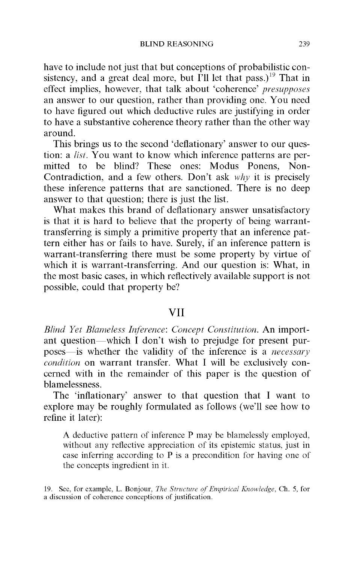have to include not just that but conceptions of probabilistic consistency, and a great deal more, but I'll let that pass.)<sup>19</sup> That in effect implies, however, that talk about 'coherence' *presupposes* an answer to our question, rather than providing one. You need to have figured out which deductive rules are justifying in order to have a substantive coherence theory rather than the other way around.

This brings us to the second 'deflationary' answer to our question: a *list*. You want to know which inference patterns are permitted to be blind? These ones: Modus Ponens, Non-Contradiction, and a few others. Don't ask *why* it is precisely these inference patterns that are sanctioned. There is no deep answer to that question; there is just the list.

What makes this brand of deflationary answer unsatisfactory is that it is hard to believe that the property of being warranttransferring is simply a primitive property that an inference pattern either has or fails to have. Surely, if an inference pattern is warrant-transferring there must be some property by virtue of which it is warrant-transferring. And our question is: What, in the most basic cases, in which reflectively available support is not possible, could that property be?

## VII

*Blind Yet Blameless Inference*: *Concept Constitution*. An important question—which I don't wish to prejudge for present purposes—is whether the validity of the inference is a *necessary condition* on warrant transfer. What I will be exclusively concerned with in the remainder of this paper is the question of blamelessness.

The 'inflationary' answer to that question that I want to explore may be roughly formulated as follows (we'll see how to refine it later):

A deductive pattern of inference P may be blamelessly employed, without any reflective appreciation of its epistemic status, just in case inferring according to  $P$  is a precondition for having one of the concepts ingredient in it.

19. See, for example, L. Bonjour, *The Structure of Empirical Knowledge*, Ch. 5, for a discussion of coherence conceptions of justification.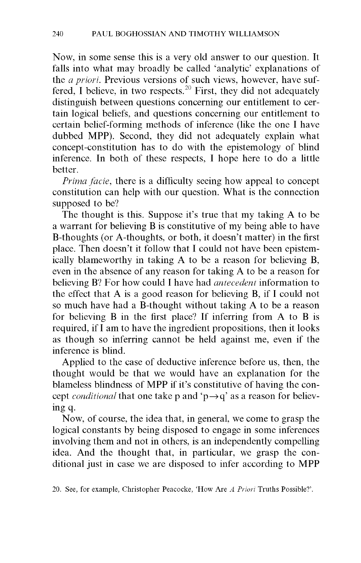Now, in some sense this is a very old answer to our question. It falls into what may broadly be called 'analytic' explanations of the *a priori*. Previous versions of such views, however, have suffered, I believe, in two respects.<sup>20</sup> First, they did not adequately distinguish between questions concerning our entitlement to certain logical beliefs, and questions concerning our entitlement to certain belief-forming methods of inference (like the one I have dubbed MPP). Second, they did not adequately explain what concept-constitution has to do with the epistemology of blind inference. In both of these respects, I hope here to do a little better.

*Prima facie*, there is a difficulty seeing how appeal to concept constitution can help with our question. What is the connection supposed to be?

The thought is this. Suppose it's true that my taking A to be a warrant for believing B is constitutive of my being able to have B-thoughts (or A-thoughts, or both, it doesn't matter) in the first place. Then doesn't it follow that I could not have been epistemically blameworthy in taking A to be a reason for believing B, even in the absence of any reason for taking A to be a reason for believing B? For how could I have had *antecedent* information to the effect that A is a good reason for believing B, if I could not so much have had a B-thought without taking A to be a reason for believing B in the first place? If inferring from A to B is required, ifI am to have the ingredient propositions, then it looks as though so inferring cannot be held against me, even if the inference is blind.

Applied to the case of deductive inference before us, then, the thought would be that we would have an explanation for the blameless blindness of MPP if it's constitutive of having the concept *conditional* that one take p and ' $p \rightarrow q$ ' as a reason for believing q.

Now, of course, the idea that, in general, we come to grasp the logical constants by being disposed to engage in some inferences involving them and not in others, is an independently compelling idea. And the thought that, in particular, we grasp the conditional just in case we are disposed to infer according to MPP

20. See, for example, Christopher Peacocke, 'How Are *A Priori* Truths Possible?'.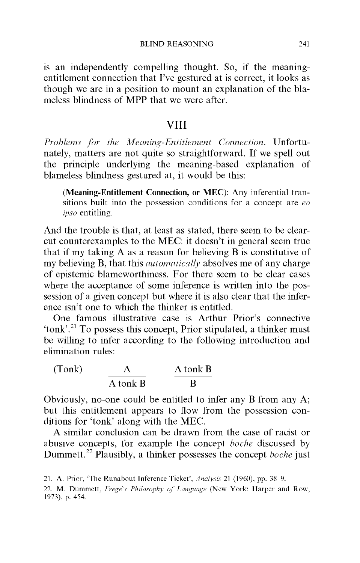is an independently compelling thought. So, if the meaningentitlement connection that I've gestured at is correct, it looks as though we are in a position to mount an explanation of the blameless blindness of MPP that we were after.

## VIII

*Problems for the Meaning*-*Entitlement Connection*. Unfortunately, matters are not quite so straightforward. If we spell out the principle underlying the meaning-based explanation of blameless blindness gestured at, it would be this:

(**Meaning-Entitlement Connection, or MEC**): Any inferential transitions built into the possession conditions for a concept are *eo ipso* entitling.

And the trouble is that, at least as stated, there seem to be clearcut counterexamples to the MEC: it doesn't in general seem true that if my taking A as a reason for believing B is constitutive of my believing B, that this *automatically* absolves me of any charge of epistemic blameworthiness. For there seem to be clear cases where the acceptance of some inference is written into the possession of a given concept but where it is also clear that the inference isn't one to which the thinker is entitled.

One famous illustrative case is Arthur Prior's connective 'tonk'.<sup>21</sup> To possess this concept, Prior stipulated, a thinker must be willing to infer according to the following introduction and elimination rules:

(Tonk) A A tonk B  $A \t{onk} B$  B A *A* tonk B

Obviously, no-one could be entitled to infer any B from any A; but this entitlement appears to flow from the possession conditions for 'tonk' along with the MEC.

A similar conclusion can be drawn from the case of racist or abusive concepts, for example the concept *boche* discussed by Dummett.<sup>22</sup> Plausibly, a thinker possesses the concept *boche* just

<sup>21.</sup> A. Prior, 'The Runabout Inference Ticket', *Analysis* 21 (1960), pp. 38-9.

<sup>22.</sup> M. Dummett, *Frege*'*s Philosophy of Language* (New York: Harper and Row, 1973), p. 454.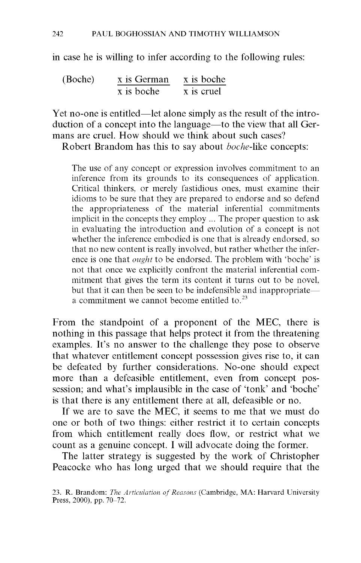in case he is willing to infer according to the following rules:

| (Boche) | x is German | x is boche |
|---------|-------------|------------|
|         | x is boche  | x is cruel |

Yet no-one is entitled—let alone simply as the result of the introduction of a concept into the language—to the view that all Germans are cruel. How should we think about such cases?

Robert Brandom has this to say about *boche*-like concepts:

The use of any concept or expression involves commitment to an inference from its grounds to its consequences of application. Critical thinkers, or merely fastidious ones, must examine their idioms to be sure that they are prepared to endorse and so defend the appropriateness of the material inferential commitments implicit in the concepts they employ ... The proper question to ask in evaluating the introduction and evolution of a concept is not whether the inference embodied is one that is already endorsed, so that no new content is really involved, but rather whether the inference is one that *ought* to be endorsed. The problem with 'boche' is not that once we explicitly confront the material inferential commitment that gives the term its content it turns out to be novel, but that it can then be seen to be indefensible and inappropriate a commitment we cannot become entitled to.<sup>23</sup>

From the standpoint of a proponent of the MEC, there is nothing in this passage that helps protect it from the threatening examples. It's no answer to the challenge they pose to observe that whatever entitlement concept possession gives rise to, it can be defeated by further considerations. No-one should expect more than a defeasible entitlement, even from concept possession; and what's implausible in the case of 'tonk' and 'boche' is that there is any entitlement there at all, defeasible or no.

If we are to save the MEC, it seems to me that we must do one or both of two things: either restrict it to certain concepts from which entitlement really does flow, or restrict what we count as a genuine concept. I will advocate doing the former.

The latter strategy is suggested by the work of Christopher Peacocke who has long urged that we should require that the

<sup>23.</sup> R. Brandom: *The Articulation of Reasons* (Cambridge, MA: Harvard University Press, 2000), pp. 70-72.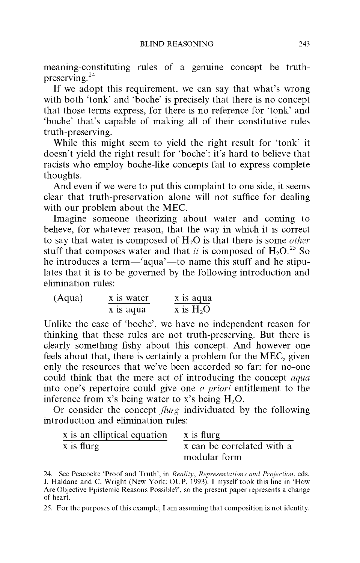meaning-constituting rules of a genuine concept be truthpreserving. $24$ 

If we adopt this requirement, we can say that what's wrong with both 'tonk' and 'boche' is precisely that there is no concept that those terms express, for there is no reference for 'tonk' and 'boche' that's capable of making all of their constitutive rules truth-preserving.

While this might seem to yield the right result for 'tonk' it doesn't yield the right result for 'boche': it's hard to believe that racists who employ boche-like concepts fail to express complete thoughts.

And even if we were to put this complaint to one side, it seems clear that truth-preservation alone will not suffice for dealing with our problem about the MEC.

Imagine someone theorizing about water and coming to believe, for whatever reason, that the way in which it is correct to say that water is composed of H2O is that there is some *other* stuff that composes water and that *it* is composed of  $H_2O^{25}$  So he introduces a term—'aqua'—to name this stuff and he stipulates that it is to be governed by the following introduction and elimination rules:

(Aqua) 
$$
\frac{x \text{ is water}}{x \text{ is aqua}}
$$
  $\frac{x \text{ is aqua}}{x \text{ is H2O}}$ 

Unlike the case of 'boche', we have no independent reason for thinking that these rules are not truth-preserving. But there is clearly something fishy about this concept. And however one feels about that, there is certainly a problem for the MEC, given only the resources that we've been accorded so far: for no-one could think that the mere act of introducing the concept *aqua* into one's repertoire could give one *a priori* entitlement to the inference from x's being water to x's being  $H_2O$ .

Or consider the concept *flurg* individuated by the following introduction and elimination rules:

| x is an elliptical equation | x is flurg                 |
|-----------------------------|----------------------------|
| x is flurg                  | x can be correlated with a |
|                             | modular form               |

<sup>24.</sup> See Peacocke 'Proof and Truth', in *Reality*, *Representations and Projection*, eds. J. Haldane and C. Wright (New York: OUP, 1993). I myself took this line in 'How Are Objective Epistemic Reasons Possible?', so the present paper represents a change of heart.

25. For the purposes of this example, I am assuming that composition is not identity.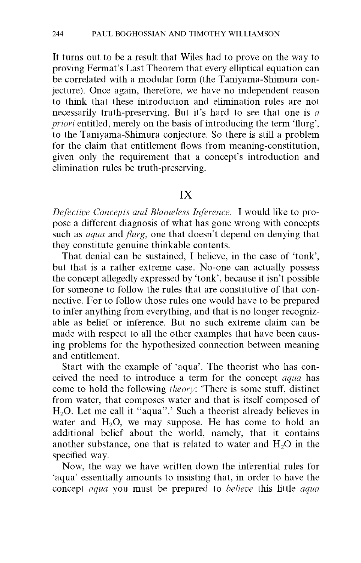It turns out to be a result that Wiles had to prove on the way to proving Fermat's Last Theorem that every elliptical equation can be correlated with a modular form (the Taniyama-Shimura conjecture). Once again, therefore, we have no independent reason to think that these introduction and elimination rules are not necessarily truth-preserving. But it's hard to see that one is *a priori* entitled, merely on the basis of introducing the term 'flurg', to the Taniyama-Shimura conjecture. So there is still a problem for the claim that entitlement flows from meaning-constitution, given only the requirement that a concept's introduction and elimination rules be truth-preserving.

## IX

*Defecti*v*e Concepts and Blameless Inference*. I would like to propose a different diagnosis of what has gone wrong with concepts such as *aqua* and *flurg*, one that doesn't depend on denying that they constitute genuine thinkable contents.

That denial can be sustained, I believe, in the case of 'tonk', but that is a rather extreme case. No-one can actually possess the concept allegedly expressed by 'tonk', because it isn't possible for someone to follow the rules that are constitutive of that connective. For to follow those rules one would have to be prepared to infer anything from everything, and that is no longer recognizable as belief or inference. But no such extreme claim can be made with respect to all the other examples that have been causing problems for the hypothesized connection between meaning and entitlement.

Start with the example of 'aqua'. The theorist who has conceived the need to introduce a term for the concept *aqua* has come to hold the following *theory*: 'There is some stuff, distinct from water, that composes water and that is itself composed of H2O. Let me call it ''aqua''.' Such a theorist already believes in water and  $H_2O$ , we may suppose. He has come to hold an additional belief about the world, namely, that it contains another substance, one that is related to water and  $H_2O$  in the specified way.

Now, the way we have written down the inferential rules for 'aqua' essentially amounts to insisting that, in order to have the concept *aqua* you must be prepared to *belie*v*e* this little *aqua*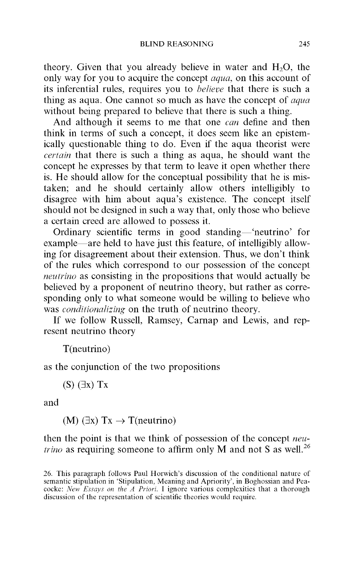theory. Given that you already believe in water and  $H_2O$ , the only way for you to acquire the concept *aqua*, on this account of its inferential rules, requires you to *believe* that there is such a thing as aqua. One cannot so much as have the concept of *aqua* without being prepared to believe that there is such a thing.

And although it seems to me that one *can* define and then think in terms of such a concept, it does seem like an epistemically questionable thing to do. Even if the aqua theorist were *certain* that there is such a thing as aqua, he should want the concept he expresses by that term to leave it open whether there is. He should allow for the conceptual possibility that he is mistaken; and he should certainly allow others intelligibly to disagree with him about aqua's existence. The concept itself should not be designed in such a way that, only those who believe a certain creed are allowed to possess it.

Ordinary scientific terms in good standing—'neutrino' for example—are held to have just this feature, of intelligibly allowing for disagreement about their extension. Thus, we don't think of the rules which correspond to our possession of the concept *neutrino* as consisting in the propositions that would actually be believed by a proponent of neutrino theory, but rather as corresponding only to what someone would be willing to believe who was *conditionalizing* on the truth of neutrino theory.

If we follow Russell, Ramsey, Carnap and Lewis, and represent neutrino theory

T(neutrino)

as the conjunction of the two propositions

 $(S)$   $(\exists x)$  Tx

and

(M)  $(\exists x)$  Tx  $\rightarrow$  T(neutrino)

then the point is that we think of possession of the concept *neutrino* as requiring someone to affirm only M and not S as well.<sup>26</sup>

<sup>26.</sup> This paragraph follows Paul Horwich's discussion of the conditional nature of semantic stipulation in 'Stipulation, Meaning and Apriority', in Boghossian and Peacocke: *New Essays on the A Priori*. I ignore various complexities that a thorough discussion of the representation of scientific theories would require.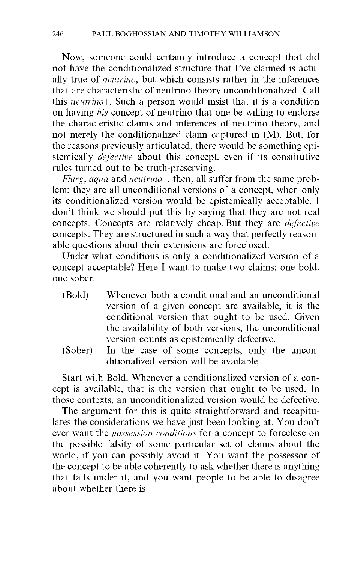Now, someone could certainly introduce a concept that did not have the conditionalized structure that I've claimed is actually true of *neutrino*, but which consists rather in the inferences that are characteristic of neutrino theory unconditionalized. Call this *neutrino*+. Such a person would insist that it is a condition on having *his* concept of neutrino that one be willing to endorse the characteristic claims and inferences of neutrino theory, and not merely the conditionalized claim captured in (M). But, for the reasons previously articulated, there would be something epistemically *defective* about this concept, even if its constitutive rules turned out to be truth-preserving.

*Flurg*, *aqua* and *neutrino*+, then, all suffer from the same problem: they are all unconditional versions of a concept, when only its conditionalized version would be epistemically acceptable. I don't think we should put this by saying that they are not real concepts. Concepts are relatively cheap.But they are *defecti*v*e* concepts. They are structured in such a way that perfectly reasonable questions about their extensions are foreclosed.

Under what conditions is only a conditionalized version of a concept acceptable? Here I want to make two claims: one bold, one sober.

- (Bold) Whenever both a conditional and an unconditional version of a given concept are available, it is the conditional version that ought to be used. Given the availability of both versions, the unconditional version counts as epistemically defective.
- (Sober) In the case of some concepts, only the unconditionalized version will be available.

Start with Bold. Whenever a conditionalized version of a concept is available, that is the version that ought to be used. In those contexts, an unconditionalized version would be defective.

The argument for this is quite straightforward and recapitulates the considerations we have just been looking at. You don't ever want the *possession conditions* for a concept to foreclose on the possible falsity of some particular set of claims about the world, if you can possibly avoid it. You want the possessor of the concept to be able coherently to ask whether there is anything that falls under it, and you want people to be able to disagree about whether there is.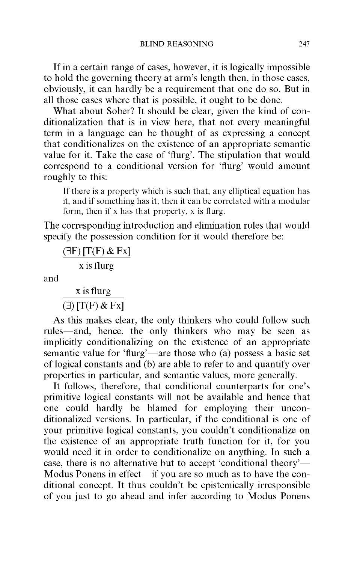If in a certain range of cases, however, it is logically impossible to hold the governing theory at arm's length then, in those cases, obviously, it can hardly be a requirement that one do so. But in all those cases where that is possible, it ought to be done.

What about Sober? It should be clear, given the kind of conditionalization that is in view here, that not every meaningful term in a language can be thought of as expressing a concept that conditionalizes on the existence of an appropriate semantic value for it. Take the case of 'flurg'. The stipulation that would correspond to a conditional version for 'flurg' would amount roughly to this:

If there is a property which is such that, any elliptical equation has it, and if something has it, then it can be correlated with a modular form, then if x has that property, x is flurg.

The corresponding introduction and elimination rules that would specify the possession condition for it would therefore be:

 $(\exists F)[T(F) \& Fx]$ x is flurg

and

 $\frac{1}{\sqrt{2}}$  x is flurg  $(\exists)$  [T(F) & Fx]

As this makes clear, the only thinkers who could follow such rules—and, hence, the only thinkers who may be seen as implicitly conditionalizing on the existence of an appropriate semantic value for 'flurg'—are those who (a) possess a basic set of logical constants and (b) are able to refer to and quantify over properties in particular, and semantic values, more generally.

It follows, therefore, that conditional counterparts for one's primitive logical constants will not be available and hence that one could hardly be blamed for employing their unconditionalized versions. In particular, if the conditional is one of your primitive logical constants, you couldn't conditionalize on the existence of an appropriate truth function for it, for you would need it in order to conditionalize on anything. In such a case, there is no alternative but to accept 'conditional theory'— Modus Ponens in effect—if you are so much as to have the conditional concept. It thus couldn't be epistemically irresponsible of you just to go ahead and infer according to Modus Ponens